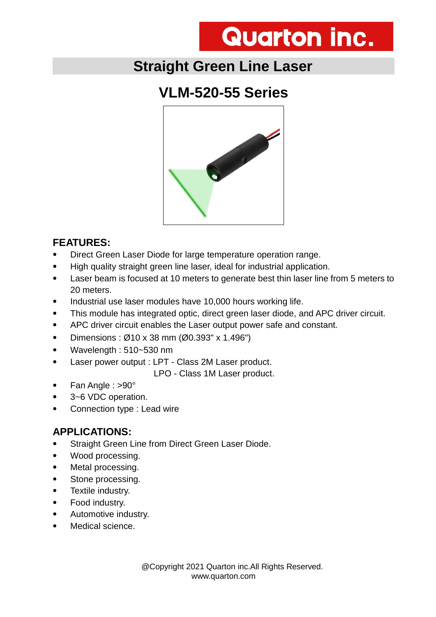# **Quarton inc.**

### **Straight Green Line Laser**

## **VLM-520-55 Series**



#### **FEATURES:**

- Direct Green Laser Diode for large temperature operation range.
- High quality straight green line laser, ideal for industrial application.
- Laser beam is focused at 10 meters to generate best thin laser line from 5 meters to 20 meters.
- Industrial use laser modules have 10,000 hours working life.
- This module has integrated optic, direct green laser diode, and APC driver circuit.
- APC driver circuit enables the Laser output power safe and constant.
- Dimensions :  $\emptyset$ 10 x 38 mm ( $\emptyset$ 0.393" x 1.496")
- Wavelength : 510~530 nm
- Laser power output : LPT Class 2M Laser product.

LPO - Class 1M Laser product.

- Fan Angle : >90°
- 3~6 VDC operation.
- Connection type : Lead wire

#### **APPLICATIONS:**

- Straight Green Line from Direct Green Laser Diode.
- Wood processing.
- Metal processing.
- Stone processing.
- Textile industry.
- Food industry.
- Automotive industry.
- Medical science.

 @Copyright 2021 Quarton inc.All Rights Reserved. www.quarton.com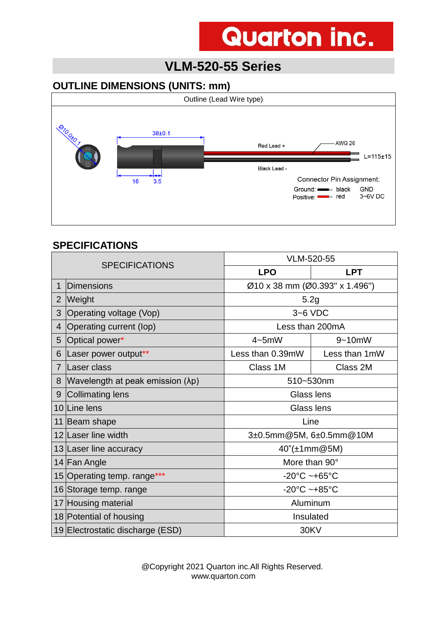# **Quarton inc.**

### **VLM-520-55 Series**

#### **OUTLINE DIMENSIONS (UNITS: mm)**



#### **SPECIFICATIONS**

| <b>SPECIFICATIONS</b> |                                           | VLM-520-55                        |               |  |
|-----------------------|-------------------------------------------|-----------------------------------|---------------|--|
|                       |                                           | <b>LPO</b>                        | <b>LPT</b>    |  |
| 1                     | Dimensions                                | Ø10 x 38 mm (Ø0.393" x 1.496")    |               |  |
| $\overline{2}$        | Weight                                    | 5.2g                              |               |  |
| 3                     | Operating voltage (Vop)                   | $3-6$ VDC                         |               |  |
| $\overline{4}$        | Operating current (lop)                   | Less than 200mA                   |               |  |
| 5                     | Optical power*                            | $4 - 5$ mW                        | $9 - 10$ mW   |  |
| 6                     | Laser power output**                      | Less than 0.39mW                  | Less than 1mW |  |
| $\overline{7}$        | Laser class                               | Class 1M                          | Class 2M      |  |
| 8                     | Wavelength at peak emission $(\lambda p)$ | 510~530nm                         |               |  |
| 9                     | Collimating lens                          | Glass lens                        |               |  |
|                       | 10 Line lens                              | Glass lens                        |               |  |
|                       | 11 Beam shape                             | Line                              |               |  |
|                       | 12 Laser line width                       | 3±0.5mm@5M, 6±0.5mm@10M           |               |  |
|                       | 13 Laser line accuracy                    | 40"(±1mm@5M)                      |               |  |
|                       | 14 Fan Angle                              | More than 90°                     |               |  |
|                       | 15 Operating temp. range***               | $-20^{\circ}$ C ~+65 $^{\circ}$ C |               |  |
|                       | 16 Storage temp. range                    | $-20^{\circ}$ C ~+85 $^{\circ}$ C |               |  |
|                       | 17 Housing material                       | Aluminum                          |               |  |
|                       | 18 Potential of housing                   | Insulated                         |               |  |
|                       | 19 Electrostatic discharge (ESD)          | <b>30KV</b>                       |               |  |

 @Copyright 2021 Quarton inc.All Rights Reserved. www.quarton.com